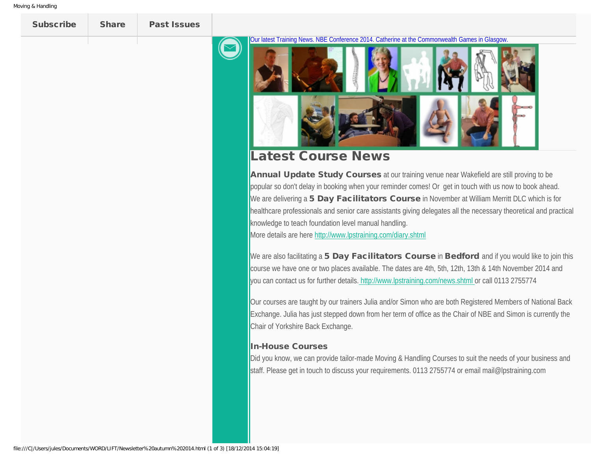<span id="page-0-0"></span>

Subscribe [Share](http://us5.campaign-archive1.com/?u=b0639f1bd80ee5756793e3d6f&id=e1ecfa1118&e=41f864c0cb#awesomeshare) [Past Issues](http://us5.campaign-archive1.com/home/?u=b0639f1bd80ee5756793e3d6f&id=1ee420cbd6)

Our latest Training News. NBE Conference 2014. Catherine at the Commonwealth Games in Glasgow.



## Latest Course News

Annual Update Study Courses at our training venue near Wakefield are still proving to be popular so don't delay in booking when your reminder comes! Or get in touch with us now to book ahead. We are delivering a 5 Day Facilitators Course in November at William Merritt DLC which is for healthcare professionals and senior care assistants giving delegates all the necessary theoretical and practical knowledge to teach foundation level manual handling.

More details are here <http://www.lpstraining.com/diary.shtml>

We are also facilitating a 5 Day Facilitators Course in Bedford and if you would like to join this course we have one or two places available. The dates are 4th, 5th, 12th, 13th & 14th November 2014 and you can contact us for further details. [http://www.lpstraining.com/news.shtml](http://%20http//www.lpstraining.com/news.shtml) or call 0113 2755774

Our courses are taught by our trainers Julia and/or Simon who are both Registered Members of National Back Exchange. Julia has just stepped down from her term of office as the Chair of NBE and Simon is currently the Chair of Yorkshire Back Exchange.

## In-House Courses

Did you know, we can provide tailor-made Moving & Handling Courses to suit the needs of your business and staff. Please get in touch to discuss your requirements. 0113 2755774 or email mail@lpstraining.com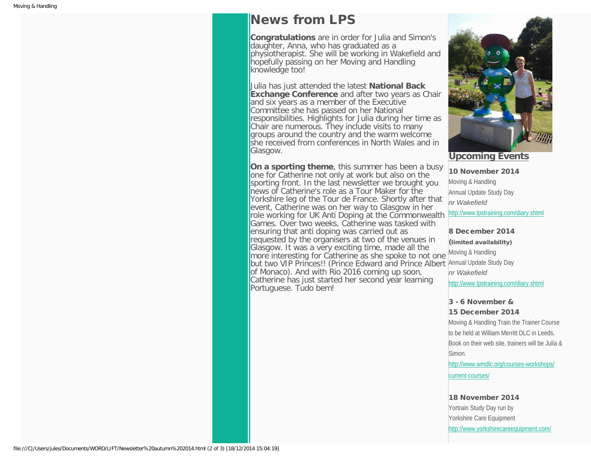## News from LPS

**Congratulations** are in order for Julia and Simon's daughter, Anna, who has graduated as a physiotherapist. She will be working in Wakefield and hopefully passing on her Moving and Handling knowledge too!

Julia has just attended the latest **National Back Exchange Conference** and after two years as Chair and six years as a member of the Executive Committee she has passed on her National responsibilities. Highlights for Julia during her time as Chair are numerous. They include visits to many groups around the country and the warm welcome she received from conferences in North Wales and in Glasgow.

**On a sporting theme**, this summer has been a busy one for Catherine not only at work but also on the sporting front. In the last newsletter we brought you news of Catherine's role as a Tour Maker for the Yorkshire leg of the Tour de France. Shortly after that event, Catherine was on her way to Glasgow in her role working for UK Anti Doping at the Commonwealth Games. Over two weeks, Catherine was tasked with ensuring that anti doping was carried out as requested by the organisers at two of the venues in Glasgow. It was a very exciting time, made all the more interesting for Catherine as she spoke to not one but two VIP Princes!! (Prince Edward and Prince Albert Annual Update Study Day of Monaco). And with Rio 2016 coming up soon, Catherine has just started her second year learning Portuguese. Tudo bem!



**Upcoming Events**

10 November 2014 Moving & Handling Annual Update Study Day *nr Wakefield*

[http://www.lpstraining.com/diary.shtml](#page-0-0)

8 December 2014 (limited availability) Moving & Handling *nr Wakefield* [http://www.lpstraining.com/diary.shtml](#page-0-0)

## 3 - 6 November & 15 December 2014

Moving & Handling Train the Trainer Course to be held at William Merritt DLC in Leeds. Book on their web site, trainers will be Julia & Simon.

[http://www.wmdlc.org/courses-workshops/](http://www.wmdlc.org/courses-workshops/current-courses/) [current-courses/](http://www.wmdlc.org/courses-workshops/current-courses/)

18 November 2014 Yortrain Study Day run by Yorkshire Care Equipment <http://www.yorkshirecareequipment.com/>